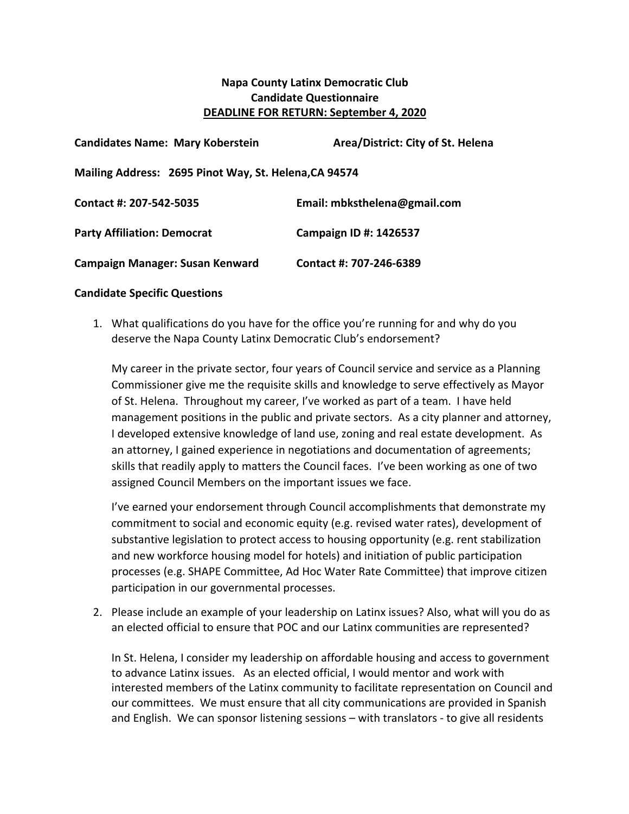## **Napa County Latinx Democratic Club Candidate Questionnaire DEADLINE FOR RETURN: September 4, 2020**

| <b>Candidates Name: Mary Koberstein</b>               | Area/District: City of St. Helena |
|-------------------------------------------------------|-----------------------------------|
| Mailing Address: 2695 Pinot Way, St. Helena, CA 94574 |                                   |
| Contact #: 207-542-5035                               | Email: mbksthelena@gmail.com      |
| <b>Party Affiliation: Democrat</b>                    | Campaign ID #: 1426537            |
| Campaign Manager: Susan Kenward                       | Contact #: 707-246-6389           |

## **Candidate Specific Questions**

1. What qualifications do you have for the office you're running for and why do you deserve the Napa County Latinx Democratic Club's endorsement?

My career in the private sector, four years of Council service and service as a Planning Commissioner give me the requisite skills and knowledge to serve effectively as Mayor of St. Helena. Throughout my career, I've worked as part of a team. I have held management positions in the public and private sectors. As a city planner and attorney, I developed extensive knowledge of land use, zoning and real estate development. As an attorney, I gained experience in negotiations and documentation of agreements; skills that readily apply to matters the Council faces. I've been working as one of two assigned Council Members on the important issues we face.

I've earned your endorsement through Council accomplishments that demonstrate my commitment to social and economic equity (e.g. revised water rates), development of substantive legislation to protect access to housing opportunity (e.g. rent stabilization and new workforce housing model for hotels) and initiation of public participation processes (e.g. SHAPE Committee, Ad Hoc Water Rate Committee) that improve citizen participation in our governmental processes.

2. Please include an example of your leadership on Latinx issues? Also, what will you do as an elected official to ensure that POC and our Latinx communities are represented?

In St. Helena, I consider my leadership on affordable housing and access to government to advance Latinx issues. As an elected official, I would mentor and work with interested members of the Latinx community to facilitate representation on Council and our committees. We must ensure that all city communications are provided in Spanish and English. We can sponsor listening sessions – with translators - to give all residents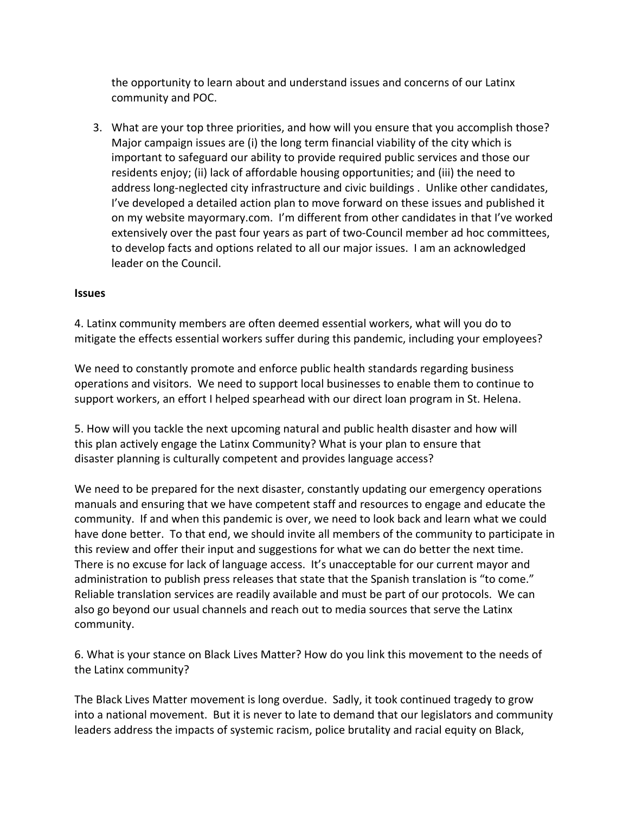the opportunity to learn about and understand issues and concerns of our Latinx community and POC.

3. What are your top three priorities, and how will you ensure that you accomplish those? Major campaign issues are (i) the long term financial viability of the city which is important to safeguard our ability to provide required public services and those our residents enjoy; (ii) lack of affordable housing opportunities; and (iii) the need to address long-neglected city infrastructure and civic buildings . Unlike other candidates, I've developed a detailed action plan to move forward on these issues and published it on my website mayormary.com. I'm different from other candidates in that I've worked extensively over the past four years as part of two-Council member ad hoc committees, to develop facts and options related to all our major issues. I am an acknowledged leader on the Council.

## **Issues**

4. Latinx community members are often deemed essential workers, what will you do to mitigate the effects essential workers suffer during this pandemic, including your employees?

We need to constantly promote and enforce public health standards regarding business operations and visitors. We need to support local businesses to enable them to continue to support workers, an effort I helped spearhead with our direct loan program in St. Helena.

5. How will you tackle the next upcoming natural and public health disaster and how will this plan actively engage the Latinx Community? What is your plan to ensure that disaster planning is culturally competent and provides language access?

We need to be prepared for the next disaster, constantly updating our emergency operations manuals and ensuring that we have competent staff and resources to engage and educate the community. If and when this pandemic is over, we need to look back and learn what we could have done better. To that end, we should invite all members of the community to participate in this review and offer their input and suggestions for what we can do better the next time. There is no excuse for lack of language access. It's unacceptable for our current mayor and administration to publish press releases that state that the Spanish translation is "to come." Reliable translation services are readily available and must be part of our protocols. We can also go beyond our usual channels and reach out to media sources that serve the Latinx community.

6. What is your stance on Black Lives Matter? How do you link this movement to the needs of the Latinx community?

The Black Lives Matter movement is long overdue. Sadly, it took continued tragedy to grow into a national movement. But it is never to late to demand that our legislators and community leaders address the impacts of systemic racism, police brutality and racial equity on Black,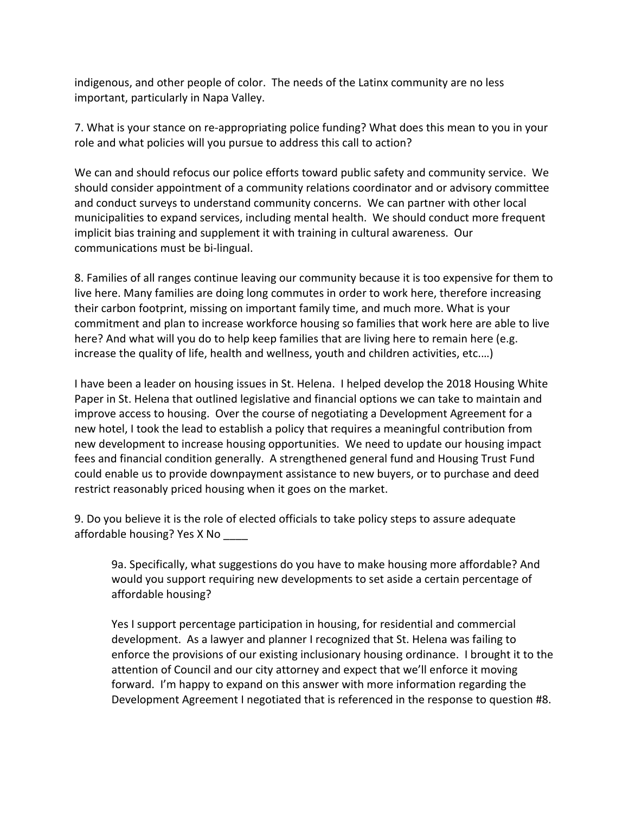indigenous, and other people of color. The needs of the Latinx community are no less important, particularly in Napa Valley.

7. What is your stance on re-appropriating police funding? What does this mean to you in your role and what policies will you pursue to address this call to action?

We can and should refocus our police efforts toward public safety and community service. We should consider appointment of a community relations coordinator and or advisory committee and conduct surveys to understand community concerns. We can partner with other local municipalities to expand services, including mental health. We should conduct more frequent implicit bias training and supplement it with training in cultural awareness. Our communications must be bi-lingual.

8. Families of all ranges continue leaving our community because it is too expensive for them to live here. Many families are doing long commutes in order to work here, therefore increasing their carbon footprint, missing on important family time, and much more. What is your commitment and plan to increase workforce housing so families that work here are able to live here? And what will you do to help keep families that are living here to remain here (e.g. increase the quality of life, health and wellness, youth and children activities, etc.…)

I have been a leader on housing issues in St. Helena. I helped develop the 2018 Housing White Paper in St. Helena that outlined legislative and financial options we can take to maintain and improve access to housing. Over the course of negotiating a Development Agreement for a new hotel, I took the lead to establish a policy that requires a meaningful contribution from new development to increase housing opportunities. We need to update our housing impact fees and financial condition generally. A strengthened general fund and Housing Trust Fund could enable us to provide downpayment assistance to new buyers, or to purchase and deed restrict reasonably priced housing when it goes on the market.

9. Do you believe it is the role of elected officials to take policy steps to assure adequate affordable housing? Yes X No \_\_\_\_

9a. Specifically, what suggestions do you have to make housing more affordable? And would you support requiring new developments to set aside a certain percentage of affordable housing?

Yes I support percentage participation in housing, for residential and commercial development. As a lawyer and planner I recognized that St. Helena was failing to enforce the provisions of our existing inclusionary housing ordinance. I brought it to the attention of Council and our city attorney and expect that we'll enforce it moving forward. I'm happy to expand on this answer with more information regarding the Development Agreement I negotiated that is referenced in the response to question #8.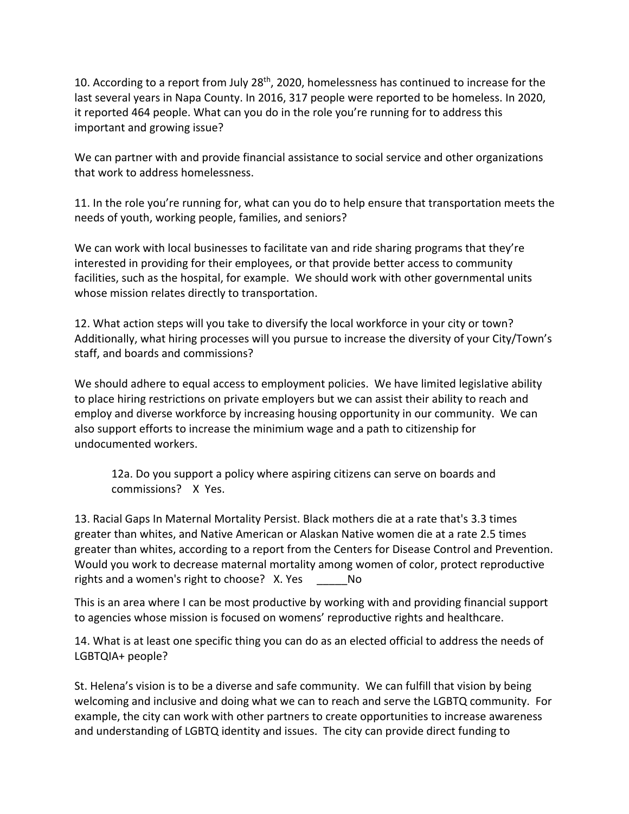10. According to a report from July 28<sup>th</sup>, 2020, homelessness has continued to increase for the last several years in Napa County. In 2016, 317 people were reported to be homeless. In 2020, it reported 464 people. What can you do in the role you're running for to address this important and growing issue?

We can partner with and provide financial assistance to social service and other organizations that work to address homelessness.

11. In the role you're running for, what can you do to help ensure that transportation meets the needs of youth, working people, families, and seniors?

We can work with local businesses to facilitate van and ride sharing programs that they're interested in providing for their employees, or that provide better access to community facilities, such as the hospital, for example. We should work with other governmental units whose mission relates directly to transportation.

12. What action steps will you take to diversify the local workforce in your city or town? Additionally, what hiring processes will you pursue to increase the diversity of your City/Town's staff, and boards and commissions?

We should adhere to equal access to employment policies. We have limited legislative ability to place hiring restrictions on private employers but we can assist their ability to reach and employ and diverse workforce by increasing housing opportunity in our community. We can also support efforts to increase the minimium wage and a path to citizenship for undocumented workers.

12a. Do you support a policy where aspiring citizens can serve on boards and commissions? X Yes.

13. Racial Gaps In Maternal Mortality Persist. Black mothers die at a rate that's 3.3 times greater than whites, and Native American or Alaskan Native women die at a rate 2.5 times greater than whites, according to a report from the Centers for Disease Control and Prevention. Would you work to decrease maternal mortality among women of color, protect reproductive rights and a women's right to choose? X. Yes No

This is an area where I can be most productive by working with and providing financial support to agencies whose mission is focused on womens' reproductive rights and healthcare.

14. What is at least one specific thing you can do as an elected official to address the needs of LGBTQIA+ people?

St. Helena's vision is to be a diverse and safe community. We can fulfill that vision by being welcoming and inclusive and doing what we can to reach and serve the LGBTQ community. For example, the city can work with other partners to create opportunities to increase awareness and understanding of LGBTQ identity and issues. The city can provide direct funding to